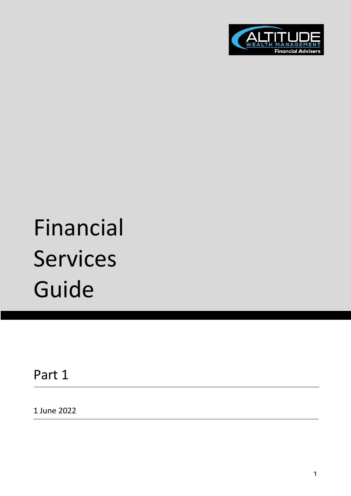

# Financial Services Guide

Part 1

1 June 2022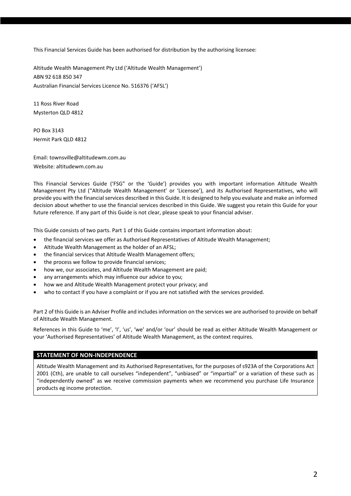This Financial Services Guide has been authorised for distribution by the authorising licensee:

Altitude Wealth Management Pty Ltd ('Altitude Wealth Management') ABN 92 618 850 347 Australian Financial Services Licence No. 516376 ('AFSL')

11 Ross River Road Mysterton QLD 4812

PO Box 3143 Hermit Park QLD 4812

Email: townsville@altitudewm.com.au Website: altitudewm.com.au

This Financial Services Guide ('FSG" or the 'Guide') provides you with important information Altitude Wealth Management Pty Ltd ("Altitude Wealth Management' or 'Licensee'), and its Authorised Representatives, who will provide you with the financial services described in this Guide. It is designed to help you evaluate and make an informed decision about whether to use the financial services described in this Guide. We suggest you retain this Guide for your future reference. If any part of this Guide is not clear, please speak to your financial adviser.

This Guide consists of two parts. Part 1 of this Guide contains important information about:

- the financial services we offer as Authorised Representatives of Altitude Wealth Management;
- Altitude Wealth Management as the holder of an AFSL;
- the financial services that Altitude Wealth Management offers;
- the process we follow to provide financial services;
- how we, our associates, and Altitude Wealth Management are paid;
- any arrangements which may influence our advice to you;
- how we and Altitude Wealth Management protect your privacy; and
- who to contact if you have a complaint or if you are not satisfied with the services provided.

Part 2 of this Guide is an Adviser Profile and includes information on the services we are authorised to provide on behalf of Altitude Wealth Management.

References in this Guide to 'me', 'I', 'us', 'we' and/or 'our' should be read as either Altitude Wealth Management or your 'Authorised Representatives' of Altitude Wealth Management, as the context requires.

## **STATEMENT OF NON-INDEPENDENCE**

Altitude Wealth Management and its Authorised Representatives, for the purposes of s923A of the Corporations Act 2001 (Cth), are unable to call ourselves "independent", "unbiased" or "impartial" or a variation of these such as "independently owned" as we receive commission payments when we recommend you purchase Life Insurance products eg income protection.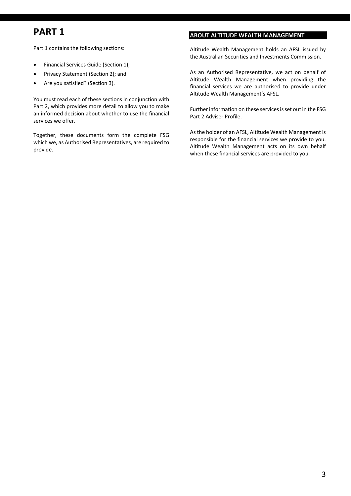# **PART 1**

Part 1 contains the following sections:

- Financial Services Guide (Section 1);
- Privacy Statement (Section 2); and
- Are you satisfied? (Section 3).

You must read each of these sections in conjunction with Part 2, which provides more detail to allow you to make an informed decision about whether to use the financial services we offer.

Together, these documents form the complete FSG which we, as Authorised Representatives, are required to provide.

## **ABOUT ALTITUDE WEALTH MANAGEMENT**

Altitude Wealth Management holds an AFSL issued by the Australian Securities and Investments Commission.

As an Authorised Representative, we act on behalf of Altitude Wealth Management when providing the financial services we are authorised to provide under Altitude Wealth Management's AFSL.

Further information on these services is set out in the FSG Part 2 Adviser Profile.

As the holder of an AFSL, Altitude Wealth Management is responsible for the financial services we provide to you. Altitude Wealth Management acts on its own behalf when these financial services are provided to you.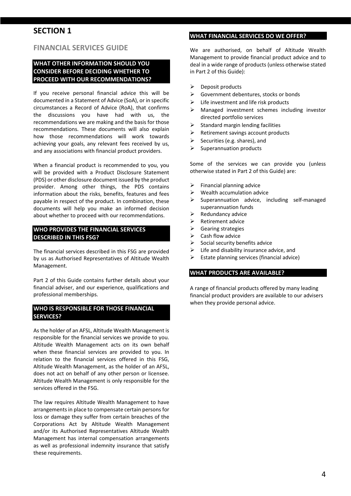# **SECTION 1**

## **FINANCIAL SERVICES GUIDE**

## **WHAT OTHER INFORMATION SHOULD YOU CONSIDER BEFORE DECIDING WHETHER TO PROCEED WITH OUR RECOMMENDATIONS?**

If you receive personal financial advice this will be documented in a Statement of Advice (SoA), or in specific circumstances a Record of Advice (RoA), that confirms the discussions you have had with us, the recommendations we are making and the basis for those recommendations. These documents will also explain how those recommendations will work towards achieving your goals, any relevant fees received by us, and any associations with financial product providers.

When a financial product is recommended to you, you will be provided with a Product Disclosure Statement (PDS) or other disclosure document issued by the product provider. Among other things, the PDS contains information about the risks, benefits, features and fees payable in respect of the product. In combination, these documents will help you make an informed decision about whether to proceed with our recommendations.

## **WHO PROVIDES THE FINANCIAL SERVICES DESCRIBED IN THIS FSG?**

The financial services described in this FSG are provided by us as Authorised Representatives of Altitude Wealth Management.

Part 2 of this Guide contains further details about your financial adviser, and our experience, qualifications and professional memberships.

## **WHO IS RESPONSIBLE FOR THOSE FINANCIAL SERVICES?**

As the holder of an AFSL, Altitude Wealth Management is responsible for the financial services we provide to you. Altitude Wealth Management acts on its own behalf when these financial services are provided to you. In relation to the financial services offered in this FSG, Altitude Wealth Management, as the holder of an AFSL, does not act on behalf of any other person or licensee. Altitude Wealth Management is only responsible for the services offered in the FSG.

The law requires Altitude Wealth Management to have arrangements in place to compensate certain persons for loss or damage they suffer from certain breaches of the Corporations Act by Altitude Wealth Management and/or its Authorised Representatives Altitude Wealth Management has internal compensation arrangements as well as professional indemnity insurance that satisfy these requirements.

## **WHAT FINANCIAL SERVICES DO WE OFFER?**

We are authorised, on behalf of Altitude Wealth Management to provide financial product advice and to deal in a wide range of products (unless otherwise stated in Part 2 of this Guide):

- $\triangleright$  Deposit products
- Government debentures, stocks or bonds
- $\triangleright$  Life investment and life risk products
- Managed investment schemes including investor directed portfolio services
- $\triangleright$  Standard margin lending facilities
- $\triangleright$  Retirement savings account products
- $\triangleright$  Securities (e.g. shares), and
- $\triangleright$  Superannuation products

Some of the services we can provide you (unless otherwise stated in Part 2 of this Guide) are:

- $\triangleright$  Financial planning advice
- $\triangleright$  Wealth accumulation advice
- $\triangleright$  Superannuation advice, including self-managed superannuation funds
- $\triangleright$  Redundancy advice
- $\triangleright$  Retirement advice
- Gearing strategies
- $\triangleright$  Cash flow advice
- $\triangleright$  Social security benefits advice
- $\triangleright$  Life and disability insurance advice, and
- $\triangleright$  Estate planning services (financial advice)

#### **WHAT PRODUCTS ARE AVAILABLE?**

A range of financial products offered by many leading financial product providers are available to our advisers when they provide personal advice.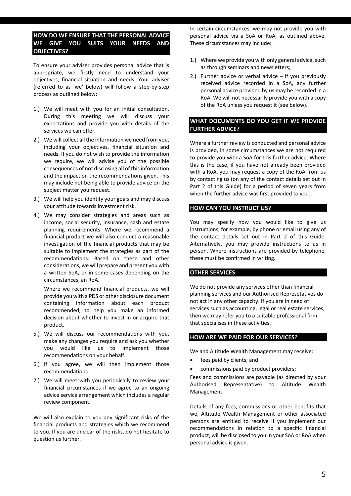## **HOW DO WE ENSURE THAT THE PERSONAL ADVICE WE GIVE YOU SUITS YOUR NEEDS AND OBJECTIVES?**

To ensure your adviser provides personal advice that is appropriate, we firstly need to understand your objectives, financial situation and needs. Your adviser (referred to as 'we' below) will follow a step-by-step process as outlined below:

- 1.) We will meet with you for an initial consultation. During this meeting we will discuss your expectations and provide you with details of the services we can offer.
- 2.) We will collect all the information we need from you, including your objectives, financial situation and needs. If you do not wish to provide the information we require, we will advise you of the possible consequences of not disclosing all of thisinformation and the impact on the recommendations given. This may include not being able to provide advice on the subject matter you request.
- 3.) We will help you identify your goals and may discuss your attitude towards investment risk.
- 4.) We may consider strategies and areas such as income, social security, insurance, cash and estate planning requirements. Where we recommend a financial product we will also conduct a reasonable investigation of the financial products that may be suitable to implement the strategies as part of the recommendations. Based on these and other considerations, we will prepare and present you with a written SoA, or in some cases depending on the circumstances, an RoA.

Where we recommend financial products, we will provide you with a PDS or other disclosure document containing information about each product recommended, to help you make an informed decision about whether to invest in or acquire that product.

- 5.) We will discuss our recommendations with you, make any changes you require and ask you whether you would like us to implement those recommendations on your behalf.
- 6.) If you agree, we will then implement those recommendations.
- 7.) We will meet with you periodically to review your financial circumstances if we agree to an ongoing advice service arrangement which includes a regular review component.

We will also explain to you any significant risks of the financial products and strategies which we recommend to you. If you are unclear of the risks, do not hesitate to question us further.

In certain circumstances, we may not provide you with personal advice via a SoA or RoA, as outlined above. These circumstances may include:

- 1.) Where we provide you with only general advice, such as through seminars and newsletters;
- 2.) Further advice or verbal advice  $-$  if you previously received advice recorded in a SoA, any further personal advice provided by us may be recorded in a RoA. We will not necessarily provide you with a copy of the RoA unless you request it (see below).

## **WHAT DOCUMENTS DO YOU GET IF WE PROVIDE FURTHER ADVICE?**

Where a further review is conducted and personal advice is provided, in some circumstances we are not required to provide you with a SoA for this further advice. Where this is the case, if you have not already been provided with a RoA, you may request a copy of the RoA from us by contacting us (on any of the contact details set out in Part 2 of this Guide) for a period of seven years from when the further advice was first provided to you.

## **HOW CAN YOU INSTRUCT US?**

You may specify how you would like to give us instructions, for example, by phone or email using any of the contact details set out in Part 2 of this Guide. Alternatively, you may provide instructions to us in person. Where instructions are provided by telephone, these must be confirmed in writing.

## **OTHER SERVICES**

We do not provide any services other than financial planning services and our Authorised Represetatives do not act in any other capacity. If you are in need of services such as accounting, legal or real estate services, then we may refer you to a suitable professional firm that specialises in these activities.

## **HOW ARE WE PAID FOR OUR SERVICES?**

We and Altitude Wealth Management may receive:

- fees paid by clients; and
- commissions paid by product providers;

Fees and commissions are payable (as directed by your Authorised Representative) to Altitude Wealth Management.

Details of any fees, commissions or other benefits that we, Altitude Wealth Management or other associated persons are entitled to receive if you implement our recommendations in relation to a specific financial product, will be disclosed to you in your SoA or RoA when personal advice is given.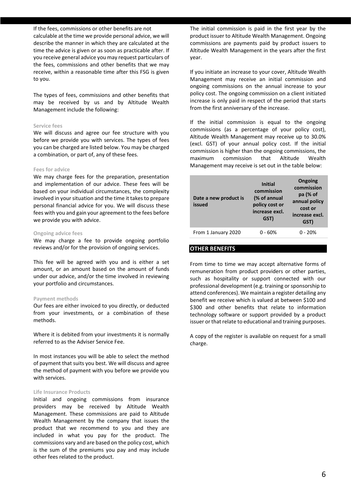#### If the fees, commissions or other benefits are not

calculable at the time we provide personal advice, we will describe the manner in which they are calculated at the time the advice is given or as soon as practicable after. If you receive general advice you may request particulars of the fees, commissions and other benefits that we may receive, within a reasonable time after this FSG is given to you.

The types of fees, commissions and other benefits that may be received by us and by Altitude Wealth Management include the following:

## **Service fees**

We will discuss and agree our fee structure with you before we provide you with services. The types of fees you can be charged are listed below. You may be charged a combination, or part of, any of these fees.

#### **Fees for advice**

We may charge fees for the preparation, presentation and implementation of our advice. These fees will be based on your individual circumstances, the complexity involved in your situation and the time it takes to prepare personal financial advice for you. We will discuss these fees with you and gain your agreement to the fees before we provide you with advice.

#### **Ongoing advice fees**

We may charge a fee to provide ongoing portfolio reviews and/or for the provision of ongoing services.

This fee will be agreed with you and is either a set amount, or an amount based on the amount of funds under our advice, and/or the time involved in reviewing your portfolio and circumstances.

#### **Payment methods**

Our fees are either invoiced to you directly, or deducted from your investments, or a combination of these methods.

Where it is debited from your investments it is normally referred to as the Adviser Service Fee.

In most instances you will be able to select the method of payment that suits you best. We will discuss and agree the method of payment with you before we provide you with services.

#### **Life Insurance Products**

Initial and ongoing commissions from insurance providers may be received by Altitude Wealth Management. These commissions are paid to Altitude Wealth Management by the company that issues the product that we recommend to you and they are included in what you pay for the product. The commissions vary and are based on the policy cost, which is the sum of the premiums you pay and may include other fees related to the product.

The initial commission is paid in the first year by the product issuer to Altitude Wealth Management. Ongoing commissions are payments paid by product issuers to Altitude Wealth Management in the years after the first year.

If you initiate an increase to your cover, Altitude Wealth Management may receive an initial commission and ongoing commissions on the annual increase to your policy cost. The ongoing commission on a client initiated increase is only paid in respect of the period that starts from the first anniversary of the increase.

If the initial commission is equal to the ongoing commissions (as a percentage of your policy cost), Altitude Wealth Management may receive up to 30.0% (excl. GST) of your annual policy cost. If the initial commission is higher than the ongoing commissions, the maximum commission that Altitude Wealth Management may receive is set out in the table below:

| Date a new product is<br>issued | <b>Initial</b><br>commission<br>(% of annual<br>policy cost or<br>increase excl.<br>GST) | Ongoing<br>commission<br>$pa$ (% of<br>annual policy<br>cost or<br>increase excl.<br>GST) |
|---------------------------------|------------------------------------------------------------------------------------------|-------------------------------------------------------------------------------------------|
| From 1 January 2020             | 0 - 60%                                                                                  | $0 - 20%$                                                                                 |
|                                 |                                                                                          |                                                                                           |

#### **OTHER BENEFITS**

From time to time we may accept alternative forms of remuneration from product providers or other parties, such as hospitality or support connected with our professional development (e.g. training or sponsorship to attend conferences). We maintain a register detailing any benefit we receive which is valued at between \$100 and \$300 and other benefits that relate to information technology software or support provided by a product issuer or that relate to educational and training purposes.

A copy of the register is available on request for a small charge.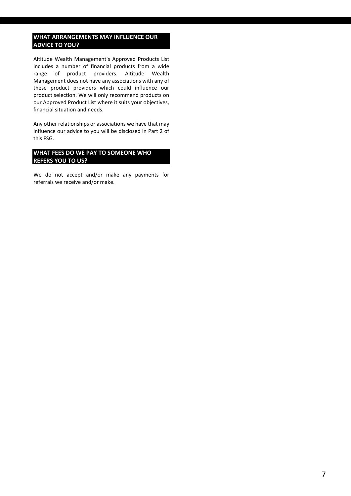## **WHAT ARRANGEMENTS MAY INFLUENCE OUR ADVICE TO YOU?**

Altitude Wealth Management's Approved Products List includes a number of financial products from a wide range of product providers. Altitude Wealth Management does not have any associations with any of these product providers which could influence our product selection. We will only recommend products on our Approved Product List where it suits your objectives, financial situation and needs.

Any other relationships or associations we have that may influence our advice to you will be disclosed in Part 2 of this FSG.

## **WHAT FEES DO WE PAY TO SOMEONE WHO REFERS YOU TO US?**

We do not accept and/or make any payments for referrals we receive and/or make.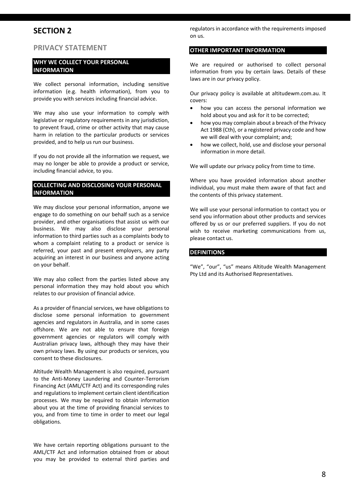# **SECTION 2**

## **PRIVACY STATEMENT**

## **WHY WE COLLECT YOUR PERSONAL INFORMATION**

We collect personal information, including sensitive information (e.g. health information), from you to provide you with services including financial advice.

We may also use your information to comply with legislative or regulatory requirements in any jurisdiction, to prevent fraud, crime or other activity that may cause harm in relation to the particular products or services provided, and to help us run our business.

If you do not provide all the information we request, we may no longer be able to provide a product or service, including financial advice, to you.

## **COLLECTING AND DISCLOSING YOUR PERSONAL INFORMATION**

We may disclose your personal information, anyone we engage to do something on our behalf such as a service provider, and other organisations that assist us with our business. We may also disclose your personal information to third parties such as a complaints body to whom a complaint relating to a product or service is referred, your past and present employers, any party acquiring an interest in our business and anyone acting on your behalf.

We may also collect from the parties listed above any personal information they may hold about you which relates to our provision of financial advice.

As a provider of financial services, we have obligations to disclose some personal information to government agencies and regulators in Australia, and in some cases offshore. We are not able to ensure that foreign government agencies or regulators will comply with Australian privacy laws, although they may have their own privacy laws. By using our products or services, you consent to these disclosures.

Altitude Wealth Management is also required, pursuant to the Anti-Money Laundering and Counter-Terrorism Financing Act (AML/CTF Act) and its corresponding rules and regulations to implement certain client identification processes. We may be required to obtain information about you at the time of providing financial services to you, and from time to time in order to meet our legal obligations.

We have certain reporting obligations pursuant to the AML/CTF Act and information obtained from or about you may be provided to external third parties and

regulators in accordance with the requirements imposed on us.

## **OTHER IMPORTANT INFORMATION**

We are required or authorised to collect personal information from you by certain laws. Details of these laws are in our privacy policy.

Our privacy policy is available at altitudewm.com.au. It covers:

- how you can access the personal information we hold about you and ask for it to be corrected;
- how you may complain about a breach of the Privacy Act 1988 (Cth), or a registered privacy code and how we will deal with your complaint; and;
- how we collect, hold, use and disclose your personal information in more detail.

We will update our privacy policy from time to time.

Where you have provided information about another individual, you must make them aware of that fact and the contents of this privacy statement.

We will use your personal information to contact you or send you information about other products and services offered by us or our preferred suppliers. If you do not wish to receive marketing communications from us, please contact us.

## **DEFINITIONS**

"We", "our", "us" means Altitude Wealth Management Pty Ltd and its Authorised Representatives.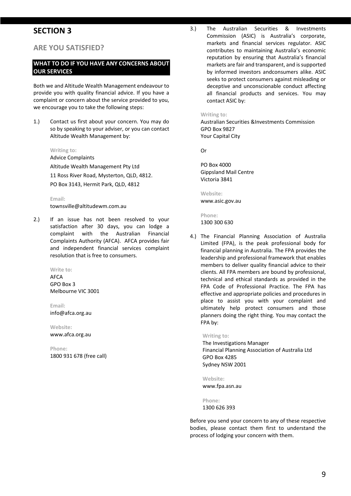# **SECTION 3**

## **ARE YOU SATISFIED?**

## **WHAT TO DO IF YOU HAVE ANY CONCERNS ABOUT OUR SERVICES**

Both we and Altitude Wealth Management endeavour to provide you with quality financial advice. If you have a complaint or concern about the service provided to you, we encourage you to take the following steps:

1.) Contact us first about your concern. You may do so by speaking to your adviser, or you can contact Altitude Wealth Management by:

**Writing to:** 

Advice Complaints Altitude Wealth Management Pty Ltd 11 Ross River Road, Mysterton, QLD, 4812. PO Box 3143, Hermit Park, QLD, 4812

**Email:**  townsville@altitudewm.com.au

2.) If an issue has not been resolved to your satisfaction after 30 days, you can lodge a complaint with the Australian Financial Complaints Authority (AFCA). AFCA provides fair and independent financial services complaint resolution that is free to consumers.

> **Write to: AFCA** GPO Box 3 Melbourne VIC 3001

**Email:**  info@afca.org.au

**Website:**  www.afca.org.au

**Phone:** 1800 931 678 (free call) 3.) The Australian Securities & Investments Commission (ASIC) is Australia's corporate, markets and financial services regulator. ASIC contributes to maintaining Australia's economic reputation by ensuring that Australia's financial markets are fair and transparent, and is supported by informed investors andconsumers alike. ASIC seeks to protect consumers against misleading or deceptive and unconscionable conduct affecting all financial products and services. You may contact ASIC by:

#### **Writing to:**

Australian Securities &Investments Commission GPO Box 9827 Your Capital City

Or

PO Box 4000 Gippsland Mail Centre Victoria 3841

**Website:**  www.asic.gov.au

**Phone:** 1300 300 630

4.) The Financial Planning Association of Australia Limited (FPA), is the peak professional body for financial planning in Australia. The FPA provides the leadership and professional framework that enables members to deliver quality financial advice to their clients. All FPA members are bound by professional, technical and ethical standards as provided in the FPA Code of Professional Practice. The FPA has effective and appropriate policies and procedures in place to assist you with your complaint and ultimately help protect consumers and those planners doing the right thing. You may contact the FPA by:

## **Writing to:**

The Investigations Manager Financial Planning Association of Australia Ltd GPO Box 4285 Sydney NSW 2001

**Website:**  www.fpa.asn.au

**Phone:**

1300 626 393

Before you send your concern to any of these respective bodies, please contact them first to understand the process of lodging your concern with them.